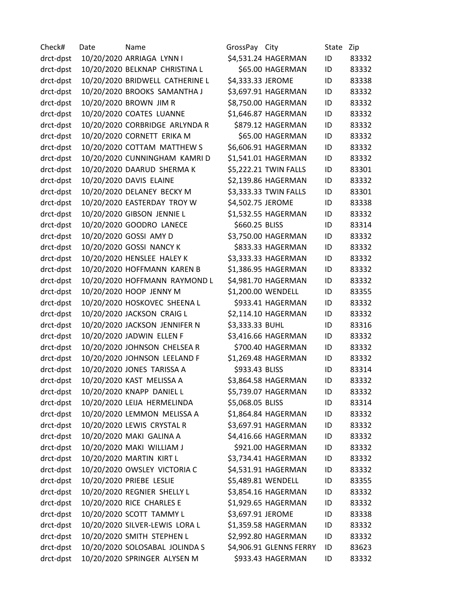Check# Date Name GrossPay City State Zip drct-dpst 10/20/2020 ARRIAGA LYNN I \$4,531.24 HAGERMAN ID 83332 drct-dpst 10/20/2020 BELKNAP CHRISTINA L \$65.00 HAGERMAN ID 83332 drct-dpst 10/20/2020 BRIDWELL CATHERINE L \$4,333.33 JEROME ID 83338 drct-dpst 10/20/2020 BROOKS SAMANTHA J \$3,697.91 HAGERMAN ID 83332 drct-dpst 10/20/2020 BROWN JIM R \$8,750.00 HAGERMAN ID 83332 drct-dpst 10/20/2020 COATES LUANNE \$1,646.87 HAGERMAN ID 83332 drct-dpst 10/20/2020 CORBRIDGE ARLYNDA R \$879.12 HAGERMAN ID 83332 drct-dpst 10/20/2020 CORNETT ERIKA M  $$65.00$  HAGERMAN ID 83332 drct-dpst 10/20/2020 COTTAM MATTHEW S \$6,606.91 HAGERMAN ID 83332 drct-dpst 10/20/2020 CUNNINGHAM KAMRI D \$1,541.01 HAGERMAN ID 83332 drct-dpst 10/20/2020 DAARUD SHERMA K \$5,222.21 TWIN FALLS ID 83301 drct-dpst 10/20/2020 DAVIS ELAINE \$2,139.86 HAGERMAN ID 83332 drct-dpst 10/20/2020 DELANEY BECKY M \$3,333.33 TWIN FALLS ID 83301 drct-dpst 10/20/2020 EASTERDAY TROY W \$4,502.75 JEROME ID 83338 drct-dpst 10/20/2020 GIBSON JENNIE L \$1,532.55 HAGERMAN ID 83332 drct-dpst 10/20/2020 GOODRO LANECE 5660.25 BLISS ID 83314 drct-dpst 10/20/2020 GOSSI AMY D \$3,750.00 HAGERMAN ID 83332 drct-dpst 10/20/2020 GOSSI NANCY K \$833.33 HAGERMAN ID 83332 drct-dpst 10/20/2020 HENSLEE HALEY K \$3,333.33 HAGERMAN ID 83332 drct-dpst 10/20/2020 HOFFMANN KAREN B \$1,386.95 HAGERMAN ID 83332 drct-dpst 10/20/2020 HOFFMANN RAYMOND L \$4,981.70 HAGERMAN ID 83332 drct-dpst 10/20/2020 HOOP JENNY M \$1,200.00 WENDELL ID 83355 drct-dpst 10/20/2020 HOSKOVEC SHEENA L \$933.41 HAGERMAN ID 83332 drct-dpst 10/20/2020 JACKSON CRAIG L \$2,114.10 HAGERMAN ID 83332 drct-dpst 10/20/2020 JACKSON JENNIFER N \$3,333.33 BUHL ID 83316 drct-dpst 10/20/2020 JADWIN ELLEN F \$3,416.66 HAGERMAN ID 83332 drct-dpst 10/20/2020 JOHNSON CHELSEA R \$700.40 HAGERMAN ID 83332 drct-dpst 10/20/2020 JOHNSON LEELAND F \$1,269.48 HAGERMAN ID 83332 drct-dpst 10/20/2020 JONES TARISSA A \$933.43 BLISS ID 83314 drct-dpst 10/20/2020 KAST MELISSA A \$3,864.58 HAGERMAN ID 83332 drct-dpst 10/20/2020 KNAPP DANIEL L \$5,739.07 HAGERMAN ID 83332 drct-dpst 10/20/2020 LEIJA HERMELINDA \$5,068.05 BLISS ID 83314 drct-dpst 10/20/2020 LEMMON MELISSA A \$1,864.84 HAGERMAN ID 83332 drct-dpst 10/20/2020 LEWIS CRYSTAL R \$3,697.91 HAGERMAN ID 83332 drct-dpst 10/20/2020 MAKI GALINA A \$4,416.66 HAGERMAN ID 83332 drct-dpst 10/20/2020 MAKI WILLIAM J \$921.00 HAGERMAN ID 83332 drct-dpst 10/20/2020 MARTIN KIRT L \$3,734.41 HAGERMAN ID 83332 drct-dpst 10/20/2020 OWSLEY VICTORIA C  $$4,531.91$  HAGERMAN ID 83332 drct-dpst 10/20/2020 PRIEBE LESLIE \$5,489.81 WENDELL ID 83355 drct-dpst 10/20/2020 REGNIER SHELLY L \$3,854.16 HAGERMAN ID 83332 drct-dpst 10/20/2020 RICE CHARLES E \$1,929.65 HAGERMAN ID 83332 drct-dpst 10/20/2020 SCOTT TAMMY L \$3,697.91 JEROME ID 83338 drct-dpst 10/20/2020 SILVER-LEWIS LORA L \$1,359.58 HAGERMAN ID 83332 drct-dpst 10/20/2020 SMITH STEPHEN L \$2,992.80 HAGERMAN ID 83332 drct-dpst 10/20/2020 SOLOSABAL JOLINDA S \$4,906.91 GLENNS FERRY ID 83623 drct-dpst 10/20/2020 SPRINGER ALYSEN M \$933.43 HAGERMAN ID 83332